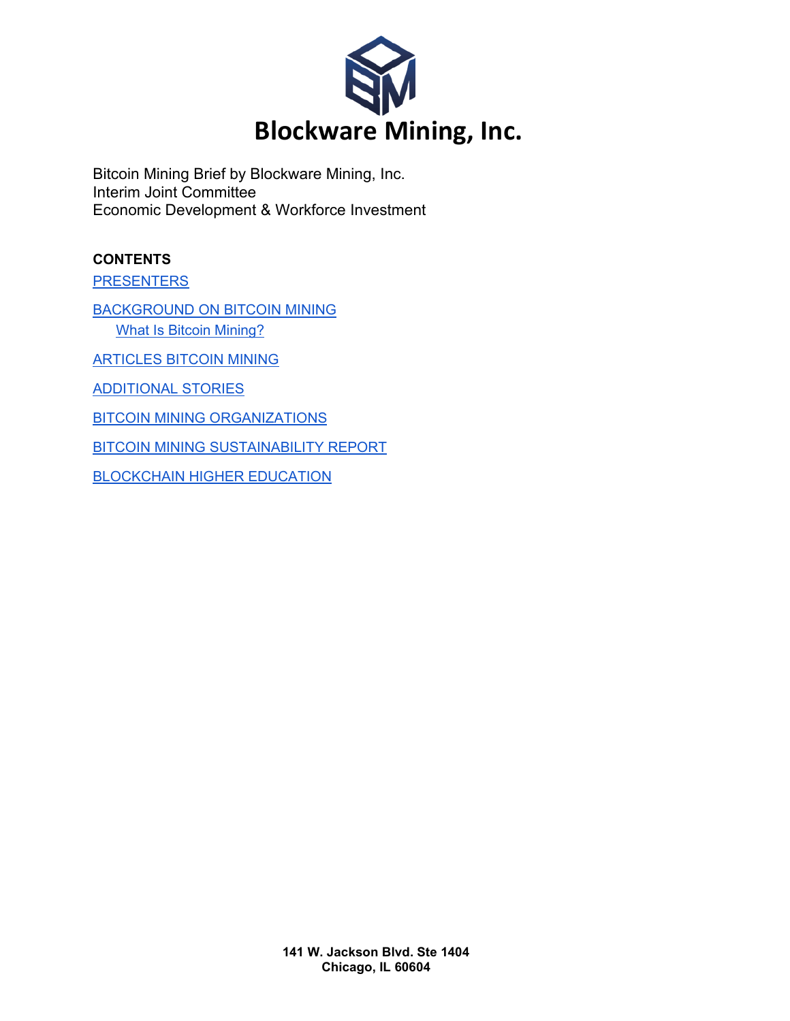

Bitcoin Mining Brief by Blockware Mining, Inc. Interim Joint Committee Economic Development & Workforce Investment

# **CONTENTS**

**PRESENTERS** 

BACKGROUND ON BITCOIN MINING What Is Bitcoin Mining?

ARTICLES BITCOIN MINING

ADDITIONAL STORIES

BITCOIN MINING ORGANIZATIONS

BITCOIN MINING SUSTAINABILITY REPORT

**BLOCKCHAIN HIGHER EDUCATION**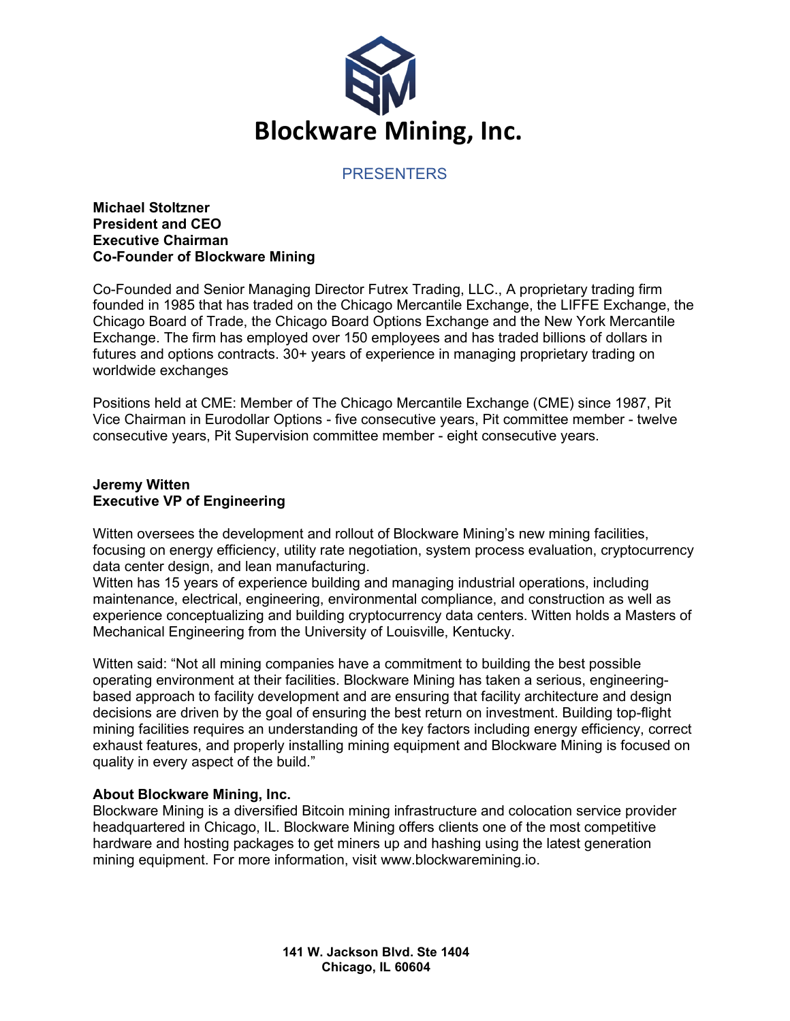

### **PRESENTERS**

**Michael Stoltzner President and CEO Executive Chairman Co-Founder of Blockware Mining** 

Co-Founded and Senior Managing Director Futrex Trading, LLC., A proprietary trading firm founded in 1985 that has traded on the Chicago Mercantile Exchange, the LIFFE Exchange, the Chicago Board of Trade, the Chicago Board Options Exchange and the New York Mercantile Exchange. The firm has employed over 150 employees and has traded billions of dollars in futures and options contracts. 30+ years of experience in managing proprietary trading on worldwide exchanges

Positions held at CME: Member of The Chicago Mercantile Exchange (CME) since 1987, Pit Vice Chairman in Eurodollar Options - five consecutive years, Pit committee member - twelve consecutive years, Pit Supervision committee member - eight consecutive years.

#### **Jeremy Witten Executive VP of Engineering**

Witten oversees the development and rollout of Blockware Mining's new mining facilities, focusing on energy efficiency, utility rate negotiation, system process evaluation, cryptocurrency data center design, and lean manufacturing.

Witten has 15 years of experience building and managing industrial operations, including maintenance, electrical, engineering, environmental compliance, and construction as well as experience conceptualizing and building cryptocurrency data centers. Witten holds a Masters of Mechanical Engineering from the University of Louisville, Kentucky.

Witten said: "Not all mining companies have a commitment to building the best possible operating environment at their facilities. Blockware Mining has taken a serious, engineeringbased approach to facility development and are ensuring that facility architecture and design decisions are driven by the goal of ensuring the best return on investment. Building top-flight mining facilities requires an understanding of the key factors including energy efficiency, correct exhaust features, and properly installing mining equipment and Blockware Mining is focused on quality in every aspect of the build."

### **About Blockware Mining, Inc.**

Blockware Mining is a diversified Bitcoin mining infrastructure and colocation service provider headquartered in Chicago, IL. Blockware Mining offers clients one of the most competitive hardware and hosting packages to get miners up and hashing using the latest generation mining equipment. For more information, visit www.blockwaremining.io.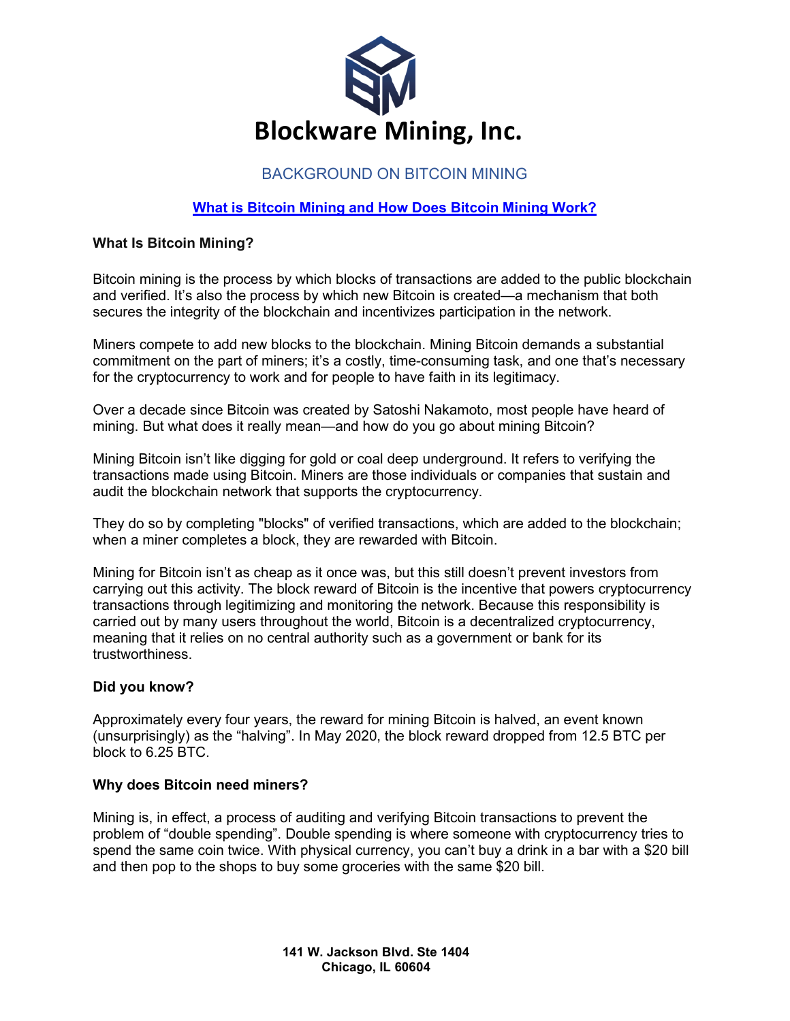

# BACKGROUND ON BITCOIN MINING

# **What is Bitcoin Mining and How Does Bitcoin Mining Work?**

### **What Is Bitcoin Mining?**

Bitcoin mining is the process by which blocks of transactions are added to the public blockchain and verified. It's also the process by which new Bitcoin is created—a mechanism that both secures the integrity of the blockchain and incentivizes participation in the network.

Miners compete to add new blocks to the blockchain. Mining Bitcoin demands a substantial commitment on the part of miners; it's a costly, time-consuming task, and one that's necessary for the cryptocurrency to work and for people to have faith in its legitimacy.

Over a decade since Bitcoin was created by Satoshi Nakamoto, most people have heard of mining. But what does it really mean—and how do you go about mining Bitcoin?

Mining Bitcoin isn't like digging for gold or coal deep underground. It refers to verifying the transactions made using Bitcoin. Miners are those individuals or companies that sustain and audit the blockchain network that supports the cryptocurrency.

They do so by completing "blocks" of verified transactions, which are added to the blockchain; when a miner completes a block, they are rewarded with Bitcoin.

Mining for Bitcoin isn't as cheap as it once was, but this still doesn't prevent investors from carrying out this activity. The block reward of Bitcoin is the incentive that powers cryptocurrency transactions through legitimizing and monitoring the network. Because this responsibility is carried out by many users throughout the world, Bitcoin is a decentralized cryptocurrency, meaning that it relies on no central authority such as a government or bank for its trustworthiness.

### **Did you know?**

Approximately every four years, the reward for mining Bitcoin is halved, an event known (unsurprisingly) as the "halving". In May 2020, the block reward dropped from 12.5 BTC per block to 6.25 BTC.

### **Why does Bitcoin need miners?**

Mining is, in effect, a process of auditing and verifying Bitcoin transactions to prevent the problem of "double spending". Double spending is where someone with cryptocurrency tries to spend the same coin twice. With physical currency, you can't buy a drink in a bar with a \$20 bill and then pop to the shops to buy some groceries with the same \$20 bill.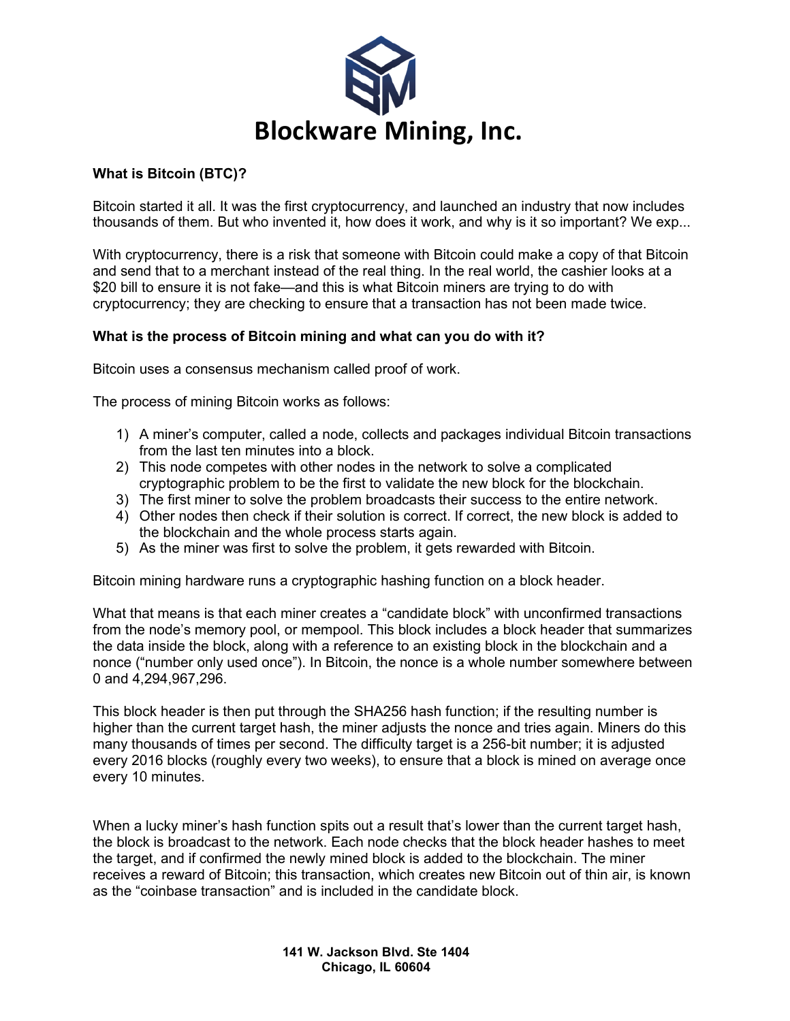

### **What is Bitcoin (BTC)?**

Bitcoin started it all. It was the first cryptocurrency, and launched an industry that now includes thousands of them. But who invented it, how does it work, and why is it so important? We exp...

With cryptocurrency, there is a risk that someone with Bitcoin could make a copy of that Bitcoin and send that to a merchant instead of the real thing. In the real world, the cashier looks at a \$20 bill to ensure it is not fake—and this is what Bitcoin miners are trying to do with cryptocurrency; they are checking to ensure that a transaction has not been made twice.

### **What is the process of Bitcoin mining and what can you do with it?**

Bitcoin uses a consensus mechanism called proof of work.

The process of mining Bitcoin works as follows:

- 1) A miner's computer, called a node, collects and packages individual Bitcoin transactions from the last ten minutes into a block.
- 2) This node competes with other nodes in the network to solve a complicated cryptographic problem to be the first to validate the new block for the blockchain.
- 3) The first miner to solve the problem broadcasts their success to the entire network.
- 4) Other nodes then check if their solution is correct. If correct, the new block is added to the blockchain and the whole process starts again.
- 5) As the miner was first to solve the problem, it gets rewarded with Bitcoin.

Bitcoin mining hardware runs a cryptographic hashing function on a block header.

What that means is that each miner creates a "candidate block" with unconfirmed transactions from the node's memory pool, or mempool. This block includes a block header that summarizes the data inside the block, along with a reference to an existing block in the blockchain and a nonce ("number only used once"). In Bitcoin, the nonce is a whole number somewhere between 0 and 4,294,967,296.

This block header is then put through the SHA256 hash function; if the resulting number is higher than the current target hash, the miner adjusts the nonce and tries again. Miners do this many thousands of times per second. The difficulty target is a 256-bit number; it is adjusted every 2016 blocks (roughly every two weeks), to ensure that a block is mined on average once every 10 minutes.

When a lucky miner's hash function spits out a result that's lower than the current target hash, the block is broadcast to the network. Each node checks that the block header hashes to meet the target, and if confirmed the newly mined block is added to the blockchain. The miner receives a reward of Bitcoin; this transaction, which creates new Bitcoin out of thin air, is known as the "coinbase transaction" and is included in the candidate block.

> **141 W. Jackson Blvd. Ste 1404 Chicago, IL 60604**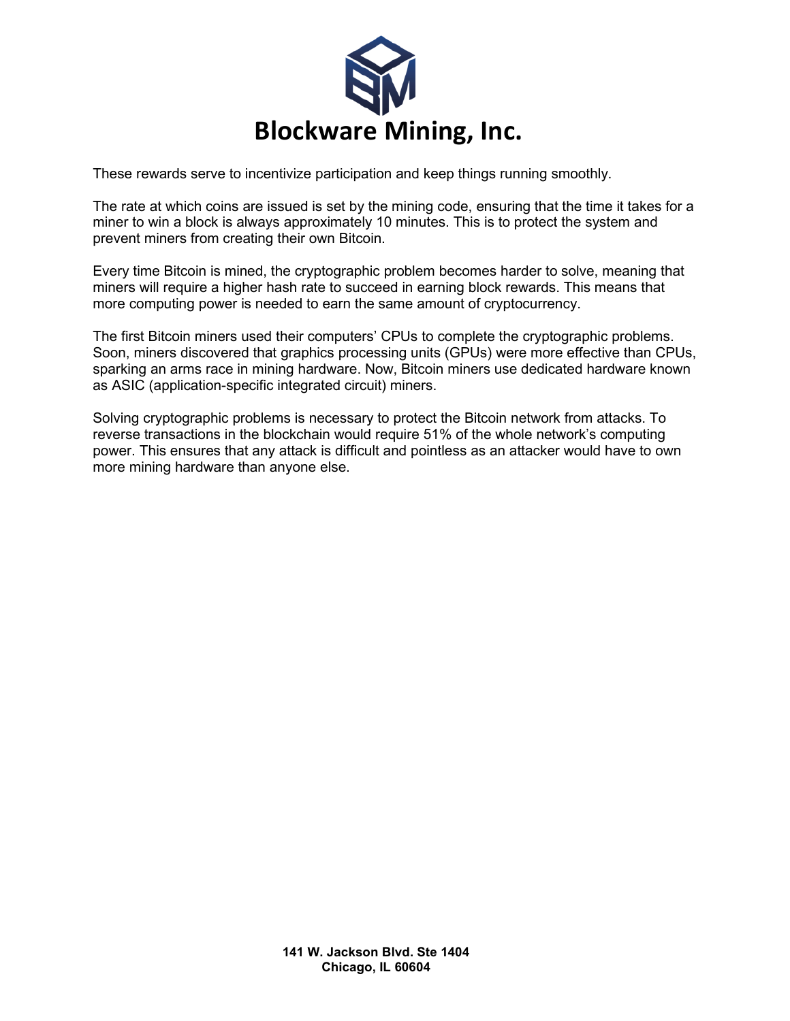

These rewards serve to incentivize participation and keep things running smoothly.

The rate at which coins are issued is set by the mining code, ensuring that the time it takes for a miner to win a block is always approximately 10 minutes. This is to protect the system and prevent miners from creating their own Bitcoin.

Every time Bitcoin is mined, the cryptographic problem becomes harder to solve, meaning that miners will require a higher hash rate to succeed in earning block rewards. This means that more computing power is needed to earn the same amount of cryptocurrency.

The first Bitcoin miners used their computers' CPUs to complete the cryptographic problems. Soon, miners discovered that graphics processing units (GPUs) were more effective than CPUs, sparking an arms race in mining hardware. Now, Bitcoin miners use dedicated hardware known as ASIC (application-specific integrated circuit) miners.

Solving cryptographic problems is necessary to protect the Bitcoin network from attacks. To reverse transactions in the blockchain would require 51% of the whole network's computing power. This ensures that any attack is difficult and pointless as an attacker would have to own more mining hardware than anyone else.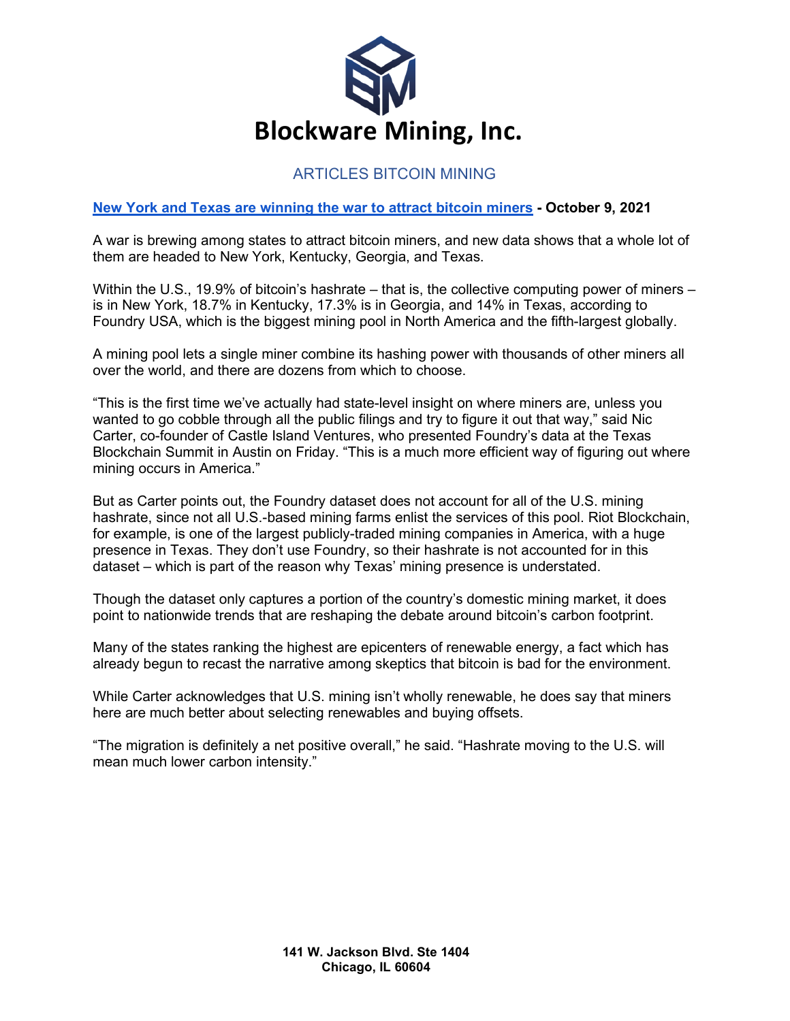

# ARTICLES BITCOIN MINING

### **New York and Texas are winning the war to attract bitcoin miners - October 9, 2021**

A war is brewing among states to attract bitcoin miners, and new data shows that a whole lot of them are headed to New York, Kentucky, Georgia, and Texas.

Within the U.S., 19.9% of bitcoin's hashrate – that is, the collective computing power of miners – is in New York, 18.7% in Kentucky, 17.3% is in Georgia, and 14% in Texas, according to Foundry USA, which is the biggest mining pool in North America and the fifth-largest globally.

A mining pool lets a single miner combine its hashing power with thousands of other miners all over the world, and there are dozens from which to choose.

"This is the first time we've actually had state-level insight on where miners are, unless you wanted to go cobble through all the public filings and try to figure it out that way," said Nic Carter, co-founder of Castle Island Ventures, who presented Foundry's data at the Texas Blockchain Summit in Austin on Friday. "This is a much more efficient way of figuring out where mining occurs in America."

But as Carter points out, the Foundry dataset does not account for all of the U.S. mining hashrate, since not all U.S.-based mining farms enlist the services of this pool. Riot Blockchain, for example, is one of the largest publicly-traded mining companies in America, with a huge presence in Texas. They don't use Foundry, so their hashrate is not accounted for in this dataset – which is part of the reason why Texas' mining presence is understated.

Though the dataset only captures a portion of the country's domestic mining market, it does point to nationwide trends that are reshaping the debate around bitcoin's carbon footprint.

Many of the states ranking the highest are epicenters of renewable energy, a fact which has already begun to recast the narrative among skeptics that bitcoin is bad for the environment.

While Carter acknowledges that U.S. mining isn't wholly renewable, he does say that miners here are much better about selecting renewables and buying offsets.

"The migration is definitely a net positive overall," he said. "Hashrate moving to the U.S. will mean much lower carbon intensity."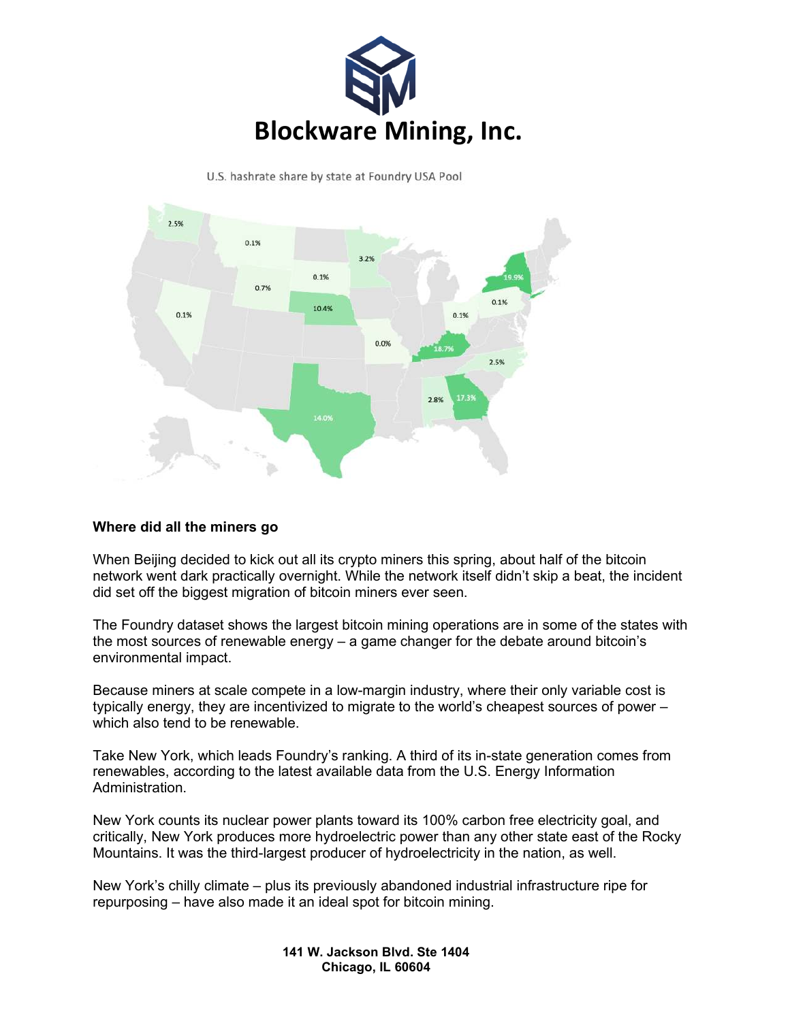



U.S. hashrate share by state at Foundry USA Pool

### **Where did all the miners go**

When Beijing decided to kick out all its crypto miners this spring, about half of the bitcoin network went dark practically overnight. While the network itself didn't skip a beat, the incident did set off the biggest migration of bitcoin miners ever seen.

The Foundry dataset shows the largest bitcoin mining operations are in some of the states with the most sources of renewable energy – a game changer for the debate around bitcoin's environmental impact.

Because miners at scale compete in a low-margin industry, where their only variable cost is typically energy, they are incentivized to migrate to the world's cheapest sources of power – which also tend to be renewable.

Take New York, which leads Foundry's ranking. A third of its in-state generation comes from renewables, according to the latest available data from the U.S. Energy Information Administration.

New York counts its nuclear power plants toward its 100% carbon free electricity goal, and critically, New York produces more hydroelectric power than any other state east of the Rocky Mountains. It was the third-largest producer of hydroelectricity in the nation, as well.

New York's chilly climate – plus its previously abandoned industrial infrastructure ripe for repurposing – have also made it an ideal spot for bitcoin mining.

> **141 W. Jackson Blvd. Ste 1404 Chicago, IL 60604**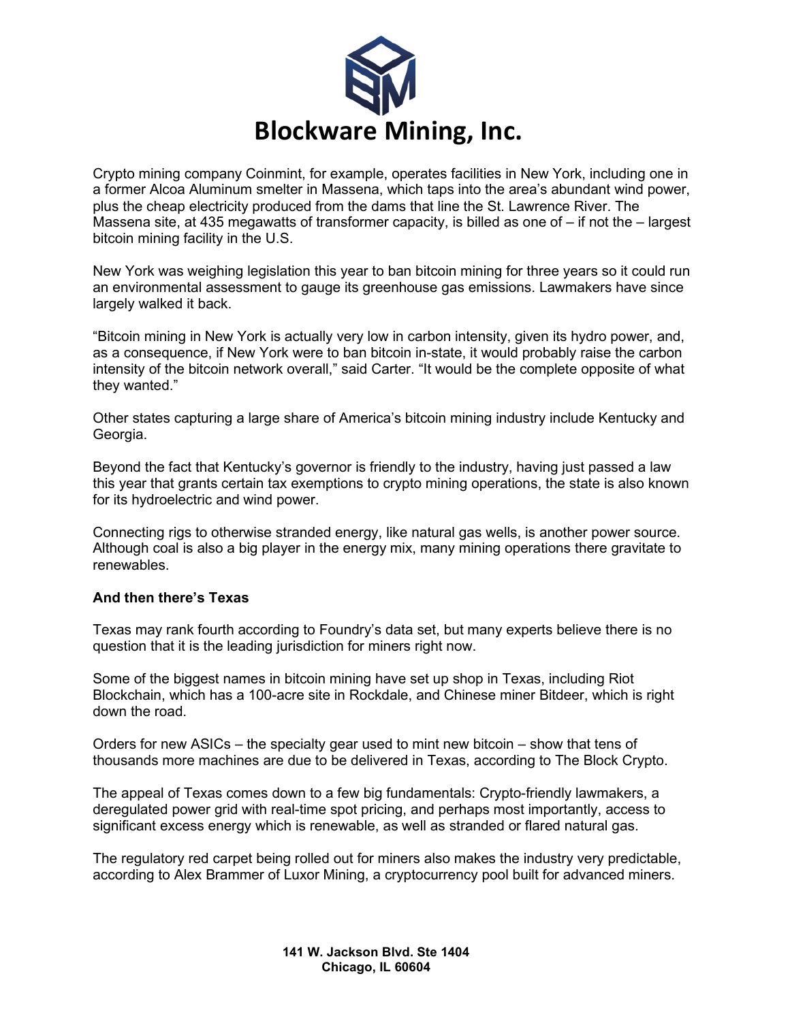

Crypto mining company Coinmint, for example, operates facilities in New York, including one in a former Alcoa Aluminum smelter in Massena, which taps into the area's abundant wind power, plus the cheap electricity produced from the dams that line the St. Lawrence River. The Massena site, at 435 megawatts of transformer capacity, is billed as one of – if not the – largest bitcoin mining facility in the U.S.

New York was weighing legislation this year to ban bitcoin mining for three years so it could run an environmental assessment to gauge its greenhouse gas emissions. Lawmakers have since largely walked it back.

"Bitcoin mining in New York is actually very low in carbon intensity, given its hydro power, and, as a consequence, if New York were to ban bitcoin in-state, it would probably raise the carbon intensity of the bitcoin network overall," said Carter. "It would be the complete opposite of what they wanted."

Other states capturing a large share of America's bitcoin mining industry include Kentucky and Georgia.

Beyond the fact that Kentucky's governor is friendly to the industry, having just passed a law this year that grants certain tax exemptions to crypto mining operations, the state is also known for its hydroelectric and wind power.

Connecting rigs to otherwise stranded energy, like natural gas wells, is another power source. Although coal is also a big player in the energy mix, many mining operations there gravitate to renewables.

#### **And then there's Texas**

Texas may rank fourth according to Foundry's data set, but many experts believe there is no question that it is the leading jurisdiction for miners right now.

Some of the biggest names in bitcoin mining have set up shop in Texas, including Riot Blockchain, which has a 100-acre site in Rockdale, and Chinese miner Bitdeer, which is right down the road.

Orders for new ASICs – the specialty gear used to mint new bitcoin – show that tens of thousands more machines are due to be delivered in Texas, according to The Block Crypto.

The appeal of Texas comes down to a few big fundamentals: Crypto-friendly lawmakers, a deregulated power grid with real-time spot pricing, and perhaps most importantly, access to significant excess energy which is renewable, as well as stranded or flared natural gas.

The regulatory red carpet being rolled out for miners also makes the industry very predictable, according to Alex Brammer of Luxor Mining, a cryptocurrency pool built for advanced miners.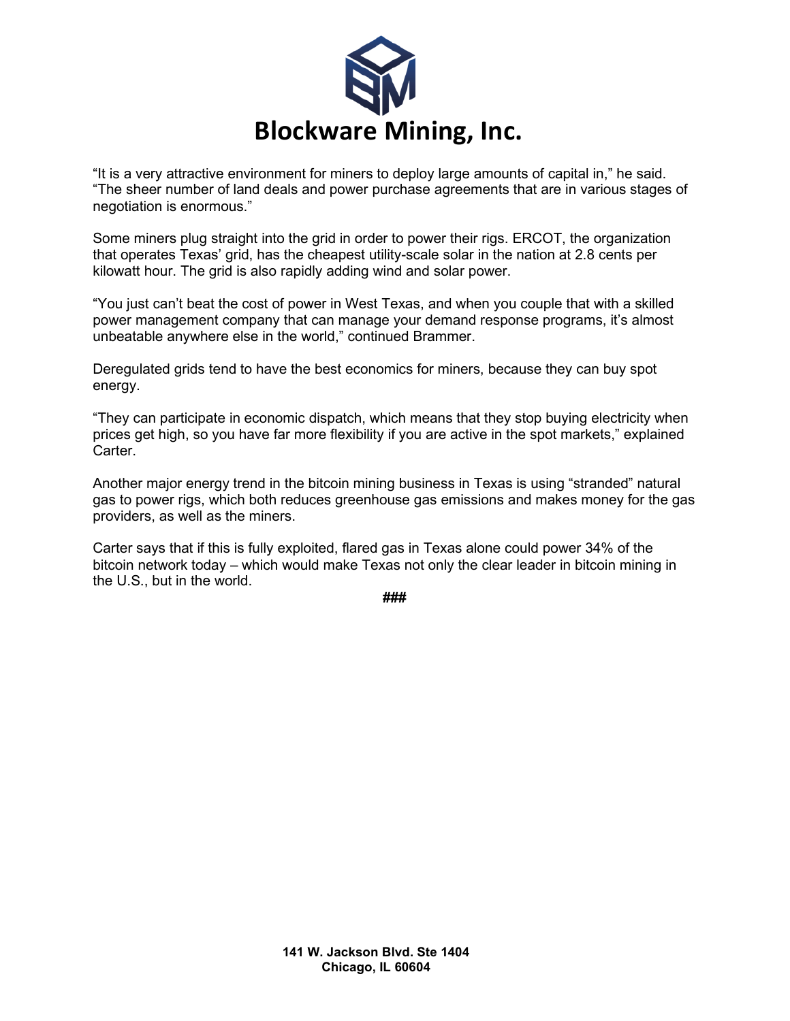

"It is a very attractive environment for miners to deploy large amounts of capital in," he said. "The sheer number of land deals and power purchase agreements that are in various stages of negotiation is enormous."

Some miners plug straight into the grid in order to power their rigs. ERCOT, the organization that operates Texas' grid, has the cheapest utility-scale solar in the nation at 2.8 cents per kilowatt hour. The grid is also rapidly adding wind and solar power.

"You just can't beat the cost of power in West Texas, and when you couple that with a skilled power management company that can manage your demand response programs, it's almost unbeatable anywhere else in the world," continued Brammer.

Deregulated grids tend to have the best economics for miners, because they can buy spot energy.

"They can participate in economic dispatch, which means that they stop buying electricity when prices get high, so you have far more flexibility if you are active in the spot markets," explained Carter.

Another major energy trend in the bitcoin mining business in Texas is using "stranded" natural gas to power rigs, which both reduces greenhouse gas emissions and makes money for the gas providers, as well as the miners.

Carter says that if this is fully exploited, flared gas in Texas alone could power 34% of the bitcoin network today – which would make Texas not only the clear leader in bitcoin mining in the U.S., but in the world.

**###**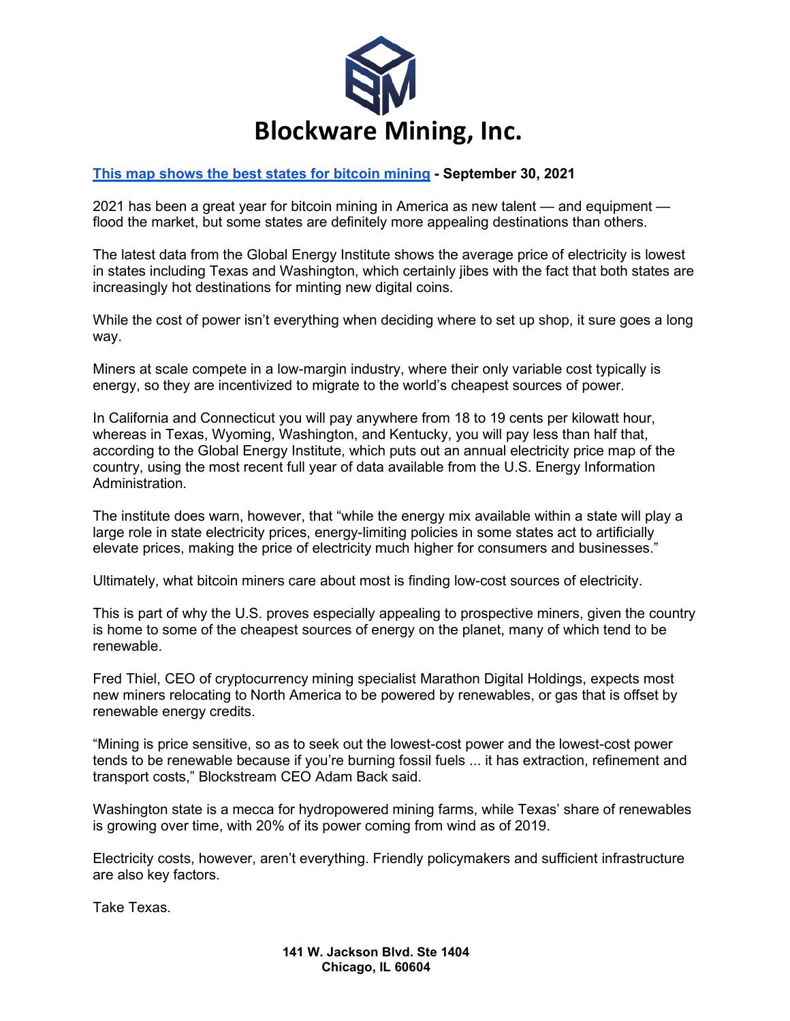

## **This map shows the best states for bitcoin mining - September 30, 2021**

2021 has been a great year for bitcoin mining in America as new talent — and equipment flood the market, but some states are definitely more appealing destinations than others.

The latest data from the Global Energy Institute shows the average price of electricity is lowest in states including Texas and Washington, which certainly jibes with the fact that both states are increasingly hot destinations for minting new digital coins.

While the cost of power isn't everything when deciding where to set up shop, it sure goes a long way.

Miners at scale compete in a low-margin industry, where their only variable cost typically is energy, so they are incentivized to migrate to the world's cheapest sources of power.

In California and Connecticut you will pay anywhere from 18 to 19 cents per kilowatt hour, whereas in Texas, Wyoming, Washington, and Kentucky, you will pay less than half that, according to the Global Energy Institute, which puts out an annual electricity price map of the country, using the most recent full year of data available from the U.S. Energy Information Administration.

The institute does warn, however, that "while the energy mix available within a state will play a large role in state electricity prices, energy-limiting policies in some states act to artificially elevate prices, making the price of electricity much higher for consumers and businesses."

Ultimately, what bitcoin miners care about most is finding low-cost sources of electricity.

This is part of why the U.S. proves especially appealing to prospective miners, given the country is home to some of the cheapest sources of energy on the planet, many of which tend to be renewable.

Fred Thiel, CEO of cryptocurrency mining specialist Marathon Digital Holdings, expects most new miners relocating to North America to be powered by renewables, or gas that is offset by renewable energy credits.

"Mining is price sensitive, so as to seek out the lowest-cost power and the lowest-cost power tends to be renewable because if you're burning fossil fuels ... it has extraction, refinement and transport costs," Blockstream CEO Adam Back said.

Washington state is a mecca for hydropowered mining farms, while Texas' share of renewables is growing over time, with 20% of its power coming from wind as of 2019.

Electricity costs, however, aren't everything. Friendly policymakers and sufficient infrastructure are also key factors.

Take Texas.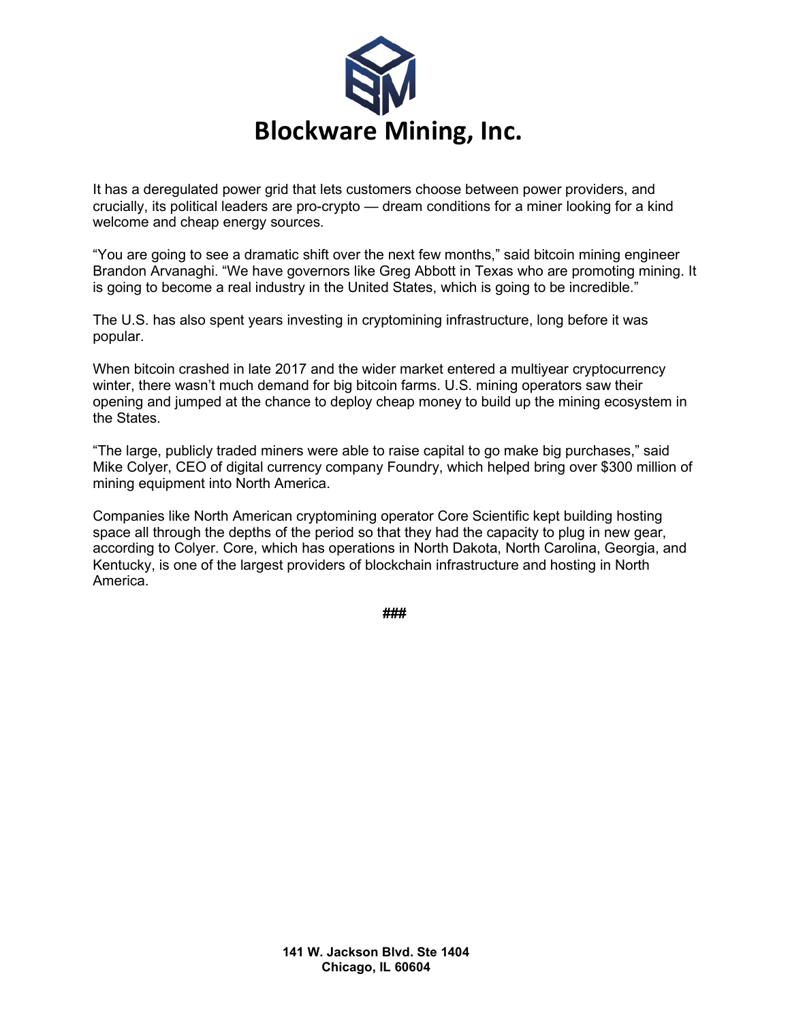

It has a deregulated power grid that lets customers choose between power providers, and crucially, its political leaders are pro-crypto — dream conditions for a miner looking for a kind welcome and cheap energy sources.

"You are going to see a dramatic shift over the next few months," said bitcoin mining engineer Brandon Arvanaghi. "We have governors like Greg Abbott in Texas who are promoting mining. It is going to become a real industry in the United States, which is going to be incredible."

The U.S. has also spent years investing in cryptomining infrastructure, long before it was popular.

When bitcoin crashed in late 2017 and the wider market entered a multiyear cryptocurrency winter, there wasn't much demand for big bitcoin farms. U.S. mining operators saw their opening and jumped at the chance to deploy cheap money to build up the mining ecosystem in the States.

"The large, publicly traded miners were able to raise capital to go make big purchases," said Mike Colyer, CEO of digital currency company Foundry, which helped bring over \$300 million of mining equipment into North America.

Companies like North American cryptomining operator Core Scientific kept building hosting space all through the depths of the period so that they had the capacity to plug in new gear, according to Colyer. Core, which has operations in North Dakota, North Carolina, Georgia, and Kentucky, is one of the largest providers of blockchain infrastructure and hosting in North America.

**###**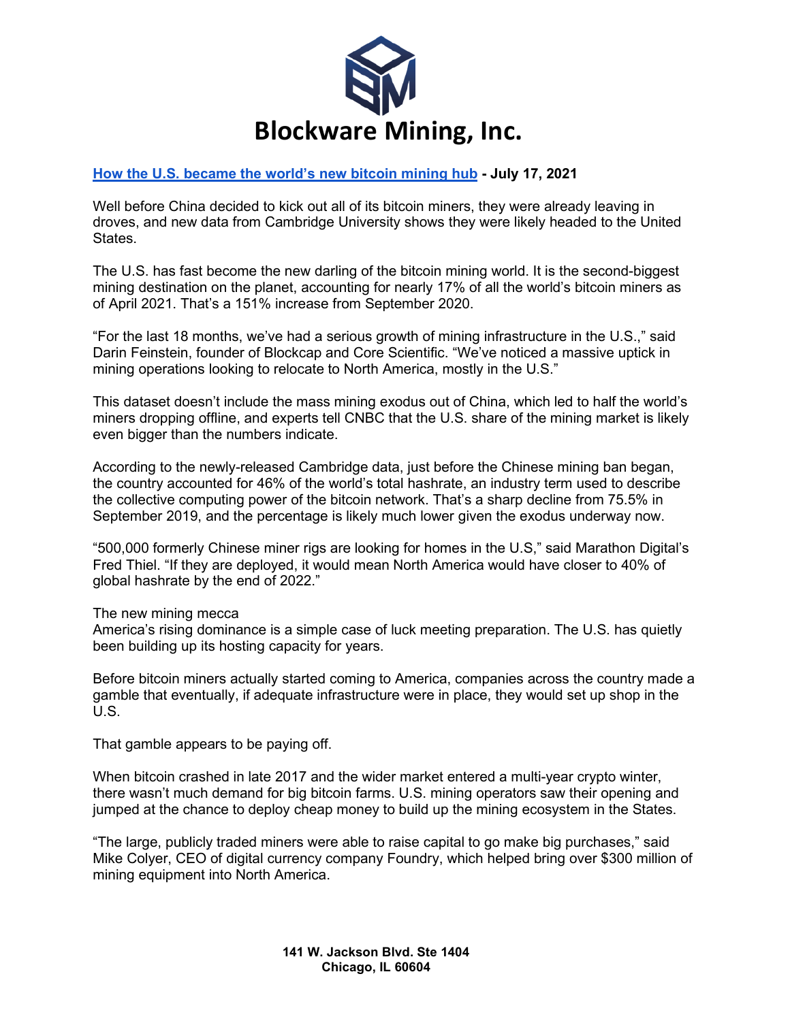

## **How the U.S. became the world's new bitcoin mining hub - July 17, 2021**

Well before China decided to kick out all of its bitcoin miners, they were already leaving in droves, and new data from Cambridge University shows they were likely headed to the United States.

The U.S. has fast become the new darling of the bitcoin mining world. It is the second-biggest mining destination on the planet, accounting for nearly 17% of all the world's bitcoin miners as of April 2021. That's a 151% increase from September 2020.

"For the last 18 months, we've had a serious growth of mining infrastructure in the U.S.," said Darin Feinstein, founder of Blockcap and Core Scientific. "We've noticed a massive uptick in mining operations looking to relocate to North America, mostly in the U.S."

This dataset doesn't include the mass mining exodus out of China, which led to half the world's miners dropping offline, and experts tell CNBC that the U.S. share of the mining market is likely even bigger than the numbers indicate.

According to the newly-released Cambridge data, just before the Chinese mining ban began, the country accounted for 46% of the world's total hashrate, an industry term used to describe the collective computing power of the bitcoin network. That's a sharp decline from 75.5% in September 2019, and the percentage is likely much lower given the exodus underway now.

"500,000 formerly Chinese miner rigs are looking for homes in the U.S," said Marathon Digital's Fred Thiel. "If they are deployed, it would mean North America would have closer to 40% of global hashrate by the end of 2022."

The new mining mecca

America's rising dominance is a simple case of luck meeting preparation. The U.S. has quietly been building up its hosting capacity for years.

Before bitcoin miners actually started coming to America, companies across the country made a gamble that eventually, if adequate infrastructure were in place, they would set up shop in the U.S.

That gamble appears to be paying off.

When bitcoin crashed in late 2017 and the wider market entered a multi-year crypto winter, there wasn't much demand for big bitcoin farms. U.S. mining operators saw their opening and jumped at the chance to deploy cheap money to build up the mining ecosystem in the States.

"The large, publicly traded miners were able to raise capital to go make big purchases," said Mike Colyer, CEO of digital currency company Foundry, which helped bring over \$300 million of mining equipment into North America.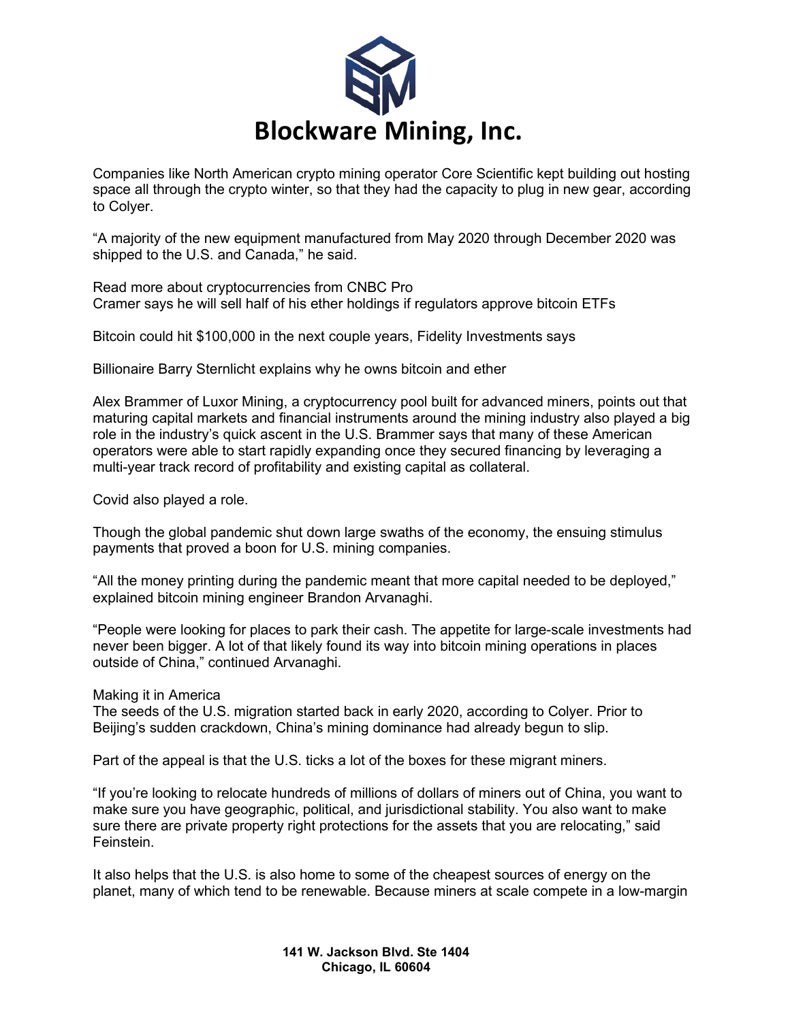

Companies like North American crypto mining operator Core Scientific kept building out hosting space all through the crypto winter, so that they had the capacity to plug in new gear, according to Colyer.

"A majority of the new equipment manufactured from May 2020 through December 2020 was shipped to the U.S. and Canada," he said.

Read more about cryptocurrencies from CNBC Pro Cramer says he will sell half of his ether holdings if regulators approve bitcoin ETFs

Bitcoin could hit \$100,000 in the next couple years, Fidelity Investments says

Billionaire Barry Sternlicht explains why he owns bitcoin and ether

Alex Brammer of Luxor Mining, a cryptocurrency pool built for advanced miners, points out that maturing capital markets and financial instruments around the mining industry also played a big role in the industry's quick ascent in the U.S. Brammer says that many of these American operators were able to start rapidly expanding once they secured financing by leveraging a multi-year track record of profitability and existing capital as collateral.

Covid also played a role.

Though the global pandemic shut down large swaths of the economy, the ensuing stimulus payments that proved a boon for U.S. mining companies.

"All the money printing during the pandemic meant that more capital needed to be deployed," explained bitcoin mining engineer Brandon Arvanaghi.

"People were looking for places to park their cash. The appetite for large-scale investments had never been bigger. A lot of that likely found its way into bitcoin mining operations in places outside of China," continued Arvanaghi.

Making it in America

The seeds of the U.S. migration started back in early 2020, according to Colyer. Prior to Beijing's sudden crackdown, China's mining dominance had already begun to slip.

Part of the appeal is that the U.S. ticks a lot of the boxes for these migrant miners.

"If you're looking to relocate hundreds of millions of dollars of miners out of China, you want to make sure you have geographic, political, and jurisdictional stability. You also want to make sure there are private property right protections for the assets that you are relocating," said Feinstein.

It also helps that the U.S. is also home to some of the cheapest sources of energy on the planet, many of which tend to be renewable. Because miners at scale compete in a low-margin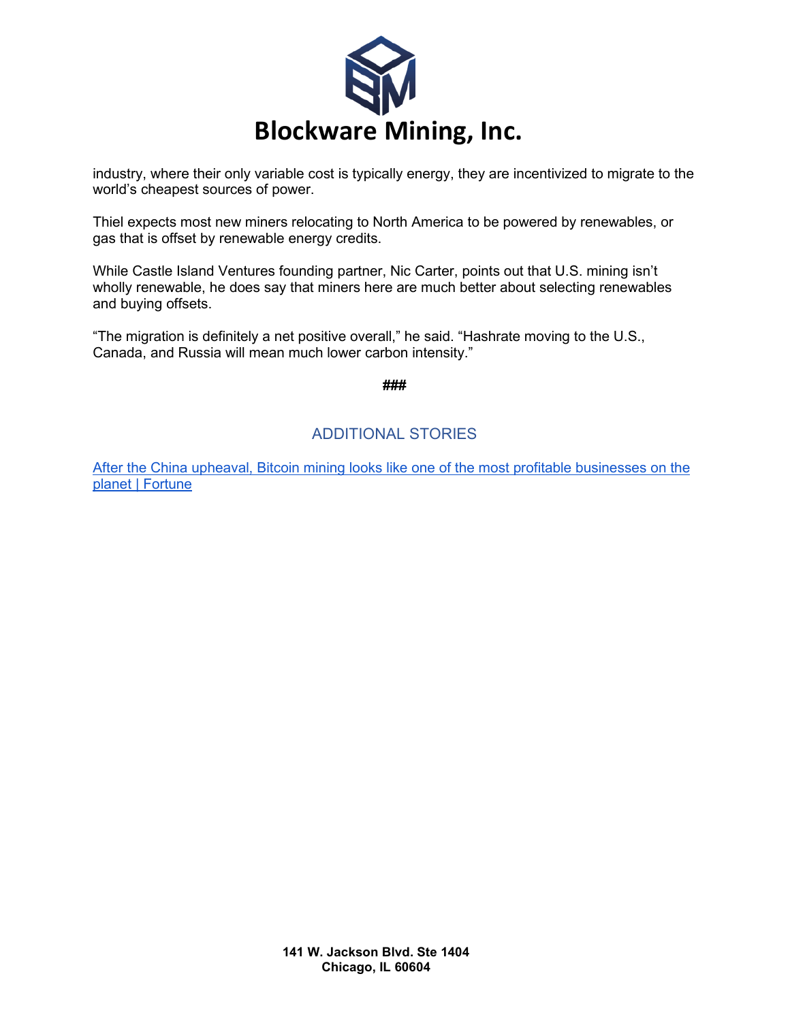

industry, where their only variable cost is typically energy, they are incentivized to migrate to the world's cheapest sources of power.

Thiel expects most new miners relocating to North America to be powered by renewables, or gas that is offset by renewable energy credits.

While Castle Island Ventures founding partner, Nic Carter, points out that U.S. mining isn't wholly renewable, he does say that miners here are much better about selecting renewables and buying offsets.

"The migration is definitely a net positive overall," he said. "Hashrate moving to the U.S., Canada, and Russia will mean much lower carbon intensity."

**###** 

# ADDITIONAL STORIES

After the China upheaval, Bitcoin mining looks like one of the most profitable businesses on the planet | Fortune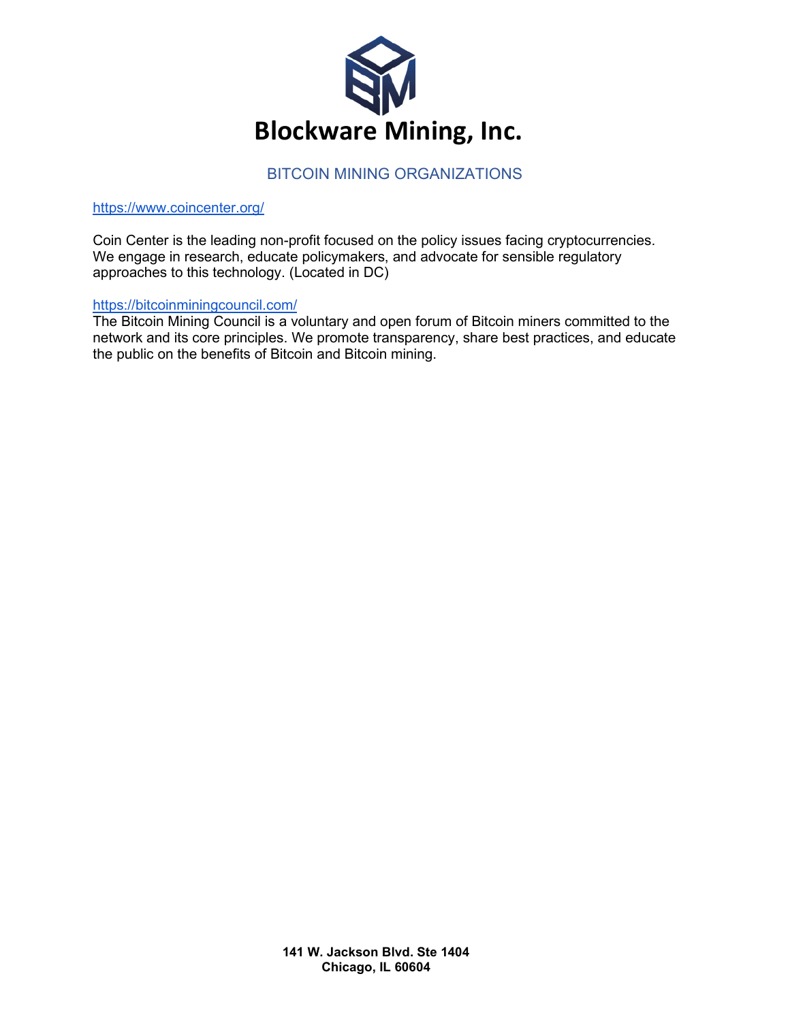

# BITCOIN MINING ORGANIZATIONS

https://www.coincenter.org/

Coin Center is the leading non-profit focused on the policy issues facing cryptocurrencies. We engage in research, educate policymakers, and advocate for sensible regulatory approaches to this technology. (Located in DC)

#### https://bitcoinminingcouncil.com/

The Bitcoin Mining Council is a voluntary and open forum of Bitcoin miners committed to the network and its core principles. We promote transparency, share best practices, and educate the public on the benefits of Bitcoin and Bitcoin mining.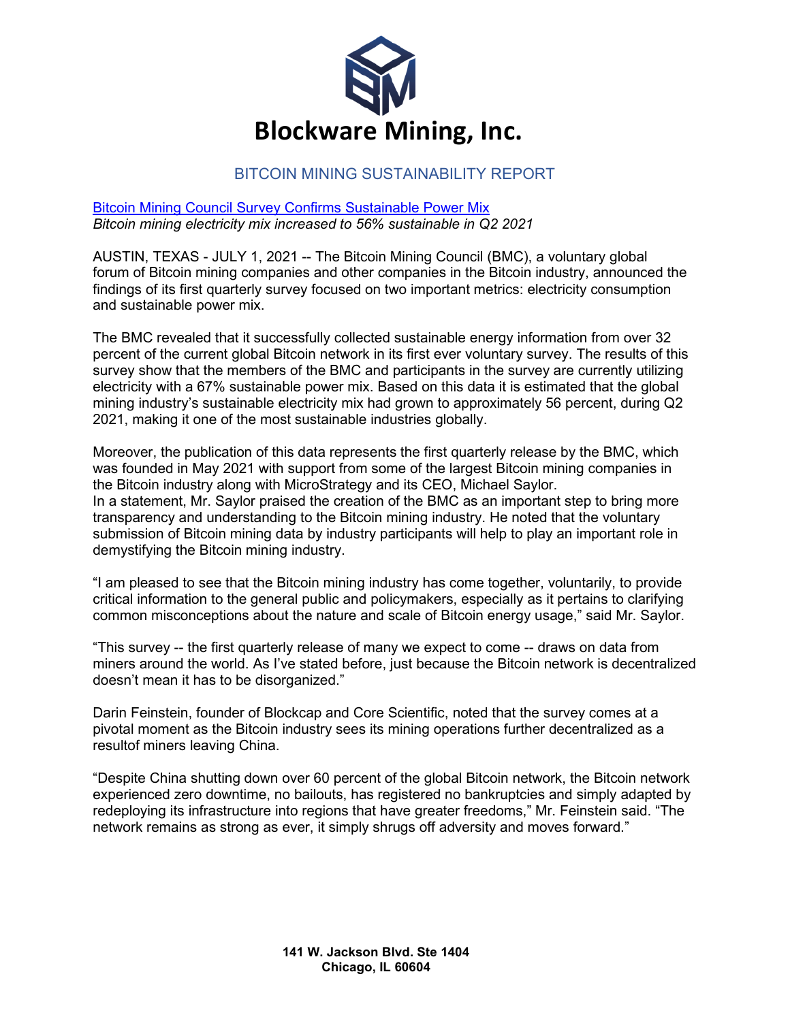

# BITCOIN MINING SUSTAINABILITY REPORT

Bitcoin Mining Council Survey Confirms Sustainable Power Mix *Bitcoin mining electricity mix increased to 56% sustainable in Q2 2021* 

AUSTIN, TEXAS - JULY 1, 2021 -- The Bitcoin Mining Council (BMC), a voluntary global forum of Bitcoin mining companies and other companies in the Bitcoin industry, announced the findings of its first quarterly survey focused on two important metrics: electricity consumption and sustainable power mix.

The BMC revealed that it successfully collected sustainable energy information from over 32 percent of the current global Bitcoin network in its first ever voluntary survey. The results of this survey show that the members of the BMC and participants in the survey are currently utilizing electricity with a 67% sustainable power mix. Based on this data it is estimated that the global mining industry's sustainable electricity mix had grown to approximately 56 percent, during Q2 2021, making it one of the most sustainable industries globally.

Moreover, the publication of this data represents the first quarterly release by the BMC, which was founded in May 2021 with support from some of the largest Bitcoin mining companies in the Bitcoin industry along with MicroStrategy and its CEO, Michael Saylor. In a statement, Mr. Saylor praised the creation of the BMC as an important step to bring more transparency and understanding to the Bitcoin mining industry. He noted that the voluntary submission of Bitcoin mining data by industry participants will help to play an important role in demystifying the Bitcoin mining industry.

"I am pleased to see that the Bitcoin mining industry has come together, voluntarily, to provide critical information to the general public and policymakers, especially as it pertains to clarifying common misconceptions about the nature and scale of Bitcoin energy usage," said Mr. Saylor.

"This survey -- the first quarterly release of many we expect to come -- draws on data from miners around the world. As I've stated before, just because the Bitcoin network is decentralized doesn't mean it has to be disorganized."

Darin Feinstein, founder of Blockcap and Core Scientific, noted that the survey comes at a pivotal moment as the Bitcoin industry sees its mining operations further decentralized as a resultof miners leaving China.

"Despite China shutting down over 60 percent of the global Bitcoin network, the Bitcoin network experienced zero downtime, no bailouts, has registered no bankruptcies and simply adapted by redeploying its infrastructure into regions that have greater freedoms," Mr. Feinstein said. "The network remains as strong as ever, it simply shrugs off adversity and moves forward."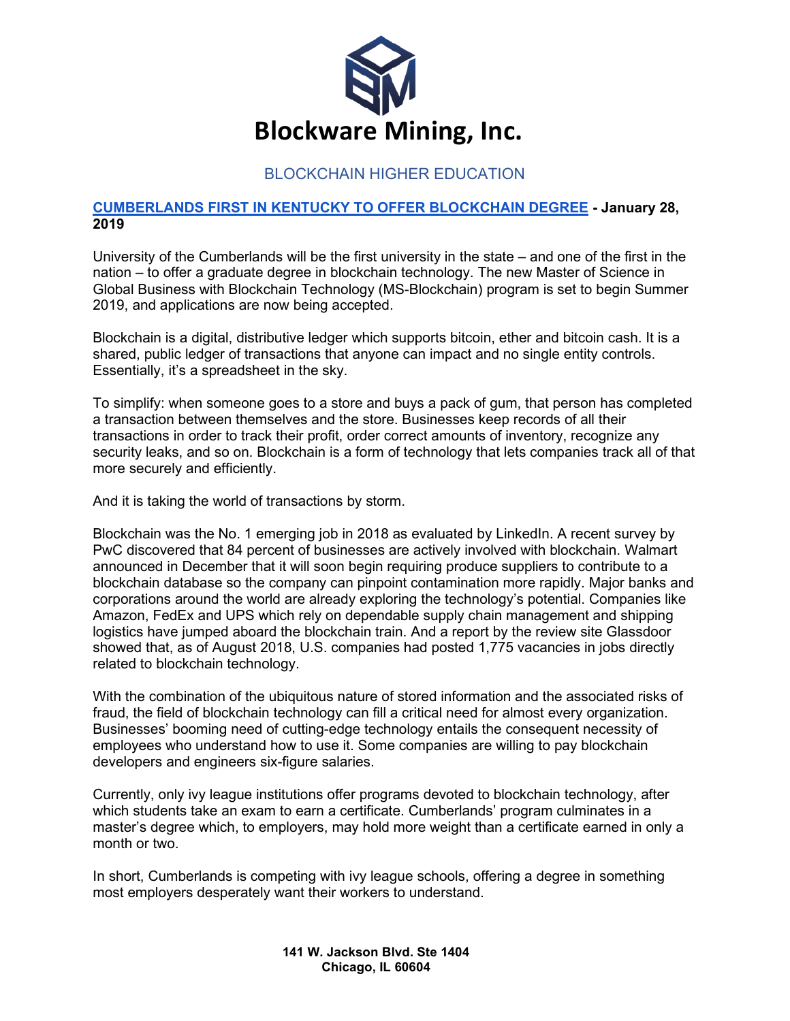

# BLOCKCHAIN HIGHER EDUCATION

### **CUMBERLANDS FIRST IN KENTUCKY TO OFFER BLOCKCHAIN DEGREE - January 28, 2019**

University of the Cumberlands will be the first university in the state – and one of the first in the nation – to offer a graduate degree in blockchain technology. The new Master of Science in Global Business with Blockchain Technology (MS-Blockchain) program is set to begin Summer 2019, and applications are now being accepted.

Blockchain is a digital, distributive ledger which supports bitcoin, ether and bitcoin cash. It is a shared, public ledger of transactions that anyone can impact and no single entity controls. Essentially, it's a spreadsheet in the sky.

To simplify: when someone goes to a store and buys a pack of gum, that person has completed a transaction between themselves and the store. Businesses keep records of all their transactions in order to track their profit, order correct amounts of inventory, recognize any security leaks, and so on. Blockchain is a form of technology that lets companies track all of that more securely and efficiently.

And it is taking the world of transactions by storm.

Blockchain was the No. 1 emerging job in 2018 as evaluated by LinkedIn. A recent survey by PwC discovered that 84 percent of businesses are actively involved with blockchain. Walmart announced in December that it will soon begin requiring produce suppliers to contribute to a blockchain database so the company can pinpoint contamination more rapidly. Major banks and corporations around the world are already exploring the technology's potential. Companies like Amazon, FedEx and UPS which rely on dependable supply chain management and shipping logistics have jumped aboard the blockchain train. And a report by the review site Glassdoor showed that, as of August 2018, U.S. companies had posted 1,775 vacancies in jobs directly related to blockchain technology.

With the combination of the ubiquitous nature of stored information and the associated risks of fraud, the field of blockchain technology can fill a critical need for almost every organization. Businesses' booming need of cutting-edge technology entails the consequent necessity of employees who understand how to use it. Some companies are willing to pay blockchain developers and engineers six-figure salaries.

Currently, only ivy league institutions offer programs devoted to blockchain technology, after which students take an exam to earn a certificate. Cumberlands' program culminates in a master's degree which, to employers, may hold more weight than a certificate earned in only a month or two.

In short, Cumberlands is competing with ivy league schools, offering a degree in something most employers desperately want their workers to understand.